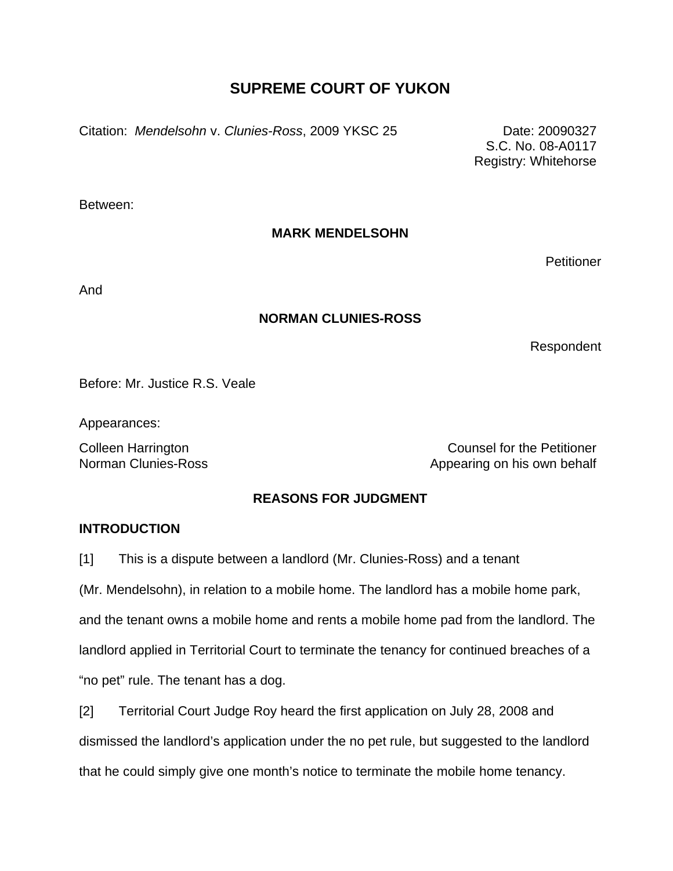# **SUPREME COURT OF YUKON**

Citation: *Mendelsohn* v. *Clunies-Ross*, 2009 YKSC 25 Date: 20090327

S.C. No. 08-A0117 Registry: Whitehorse

Between:

# **MARK MENDELSOHN**

**Petitioner** 

And

# **NORMAN CLUNIES-ROSS**

Respondent

Before: Mr. Justice R.S. Veale

Appearances:

Colleen Harrington Counsel for the Petitioner Norman Clunies-Ross **Appearing on his own behalf** 

# **REASONS FOR JUDGMENT**

### **INTRODUCTION**

[1] This is a dispute between a landlord (Mr. Clunies-Ross) and a tenant

(Mr. Mendelsohn), in relation to a mobile home. The landlord has a mobile home park,

and the tenant owns a mobile home and rents a mobile home pad from the landlord. The landlord applied in Territorial Court to terminate the tenancy for continued breaches of a

"no pet" rule. The tenant has a dog.

[2] Territorial Court Judge Roy heard the first application on July 28, 2008 and dismissed the landlord's application under the no pet rule, but suggested to the landlord that he could simply give one month's notice to terminate the mobile home tenancy.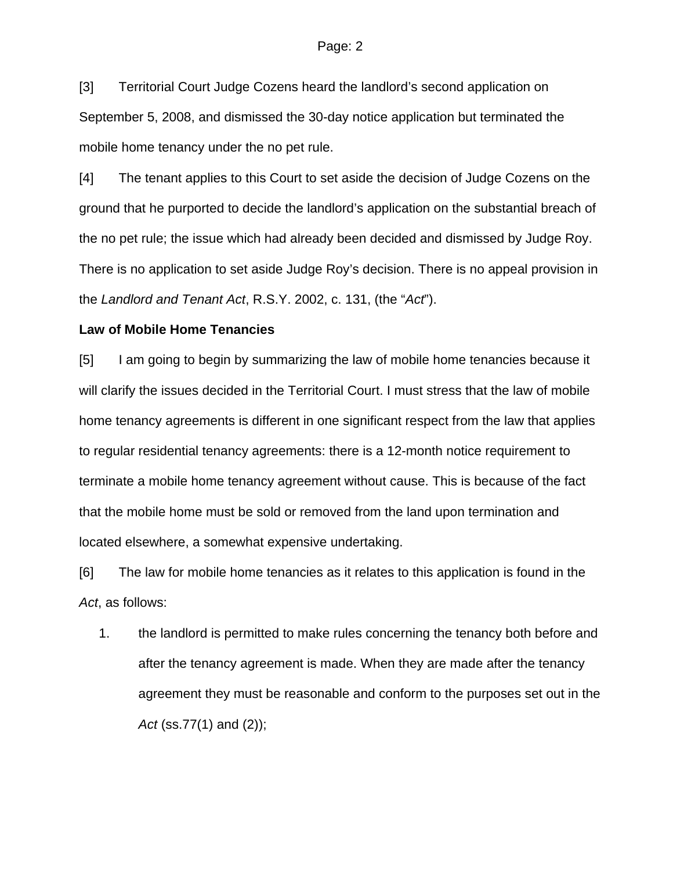[3] Territorial Court Judge Cozens heard the landlord's second application on September 5, 2008, and dismissed the 30-day notice application but terminated the mobile home tenancy under the no pet rule.

[4] The tenant applies to this Court to set aside the decision of Judge Cozens on the ground that he purported to decide the landlord's application on the substantial breach of the no pet rule; the issue which had already been decided and dismissed by Judge Roy. There is no application to set aside Judge Roy's decision. There is no appeal provision in the *Landlord and Tenant Act*, R.S.Y. 2002, c. 131, (the "*Act*").

#### **Law of Mobile Home Tenancies**

[5] I am going to begin by summarizing the law of mobile home tenancies because it will clarify the issues decided in the Territorial Court. I must stress that the law of mobile home tenancy agreements is different in one significant respect from the law that applies to regular residential tenancy agreements: there is a 12-month notice requirement to terminate a mobile home tenancy agreement without cause. This is because of the fact that the mobile home must be sold or removed from the land upon termination and located elsewhere, a somewhat expensive undertaking.

[6] The law for mobile home tenancies as it relates to this application is found in the *Act*, as follows:

1. the landlord is permitted to make rules concerning the tenancy both before and after the tenancy agreement is made. When they are made after the tenancy agreement they must be reasonable and conform to the purposes set out in the *Act* (ss.77(1) and (2));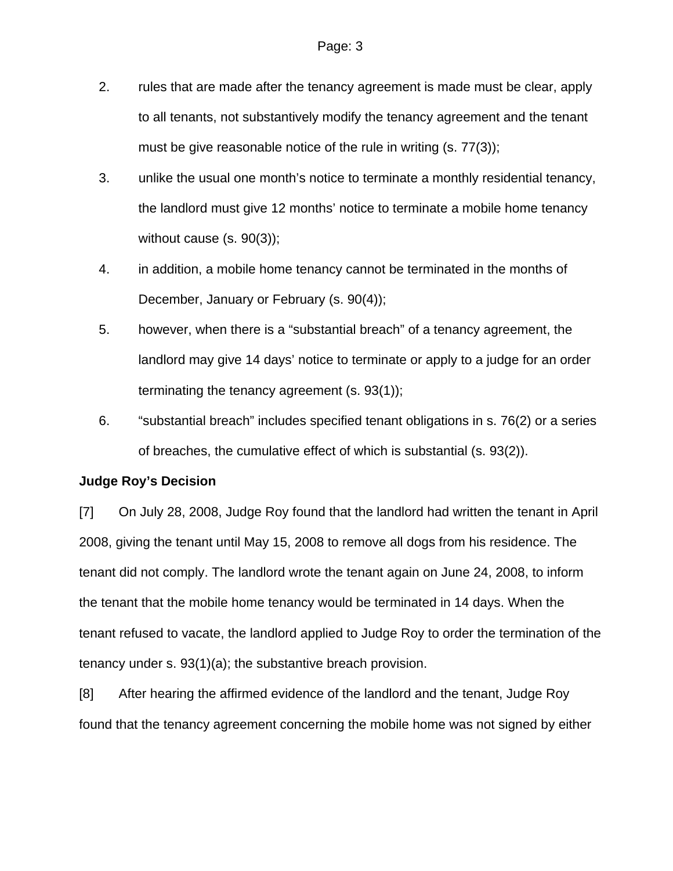- 2. rules that are made after the tenancy agreement is made must be clear, apply to all tenants, not substantively modify the tenancy agreement and the tenant must be give reasonable notice of the rule in writing (s. 77(3));
- 3. unlike the usual one month's notice to terminate a monthly residential tenancy, the landlord must give 12 months' notice to terminate a mobile home tenancy without cause (s. 90(3));
- 4. in addition, a mobile home tenancy cannot be terminated in the months of December, January or February (s. 90(4));
- 5. however, when there is a "substantial breach" of a tenancy agreement, the landlord may give 14 days' notice to terminate or apply to a judge for an order terminating the tenancy agreement (s. 93(1));
- 6. "substantial breach" includes specified tenant obligations in s. 76(2) or a series of breaches, the cumulative effect of which is substantial (s. 93(2)).

### **Judge Roy's Decision**

[7] On July 28, 2008, Judge Roy found that the landlord had written the tenant in April 2008, giving the tenant until May 15, 2008 to remove all dogs from his residence. The tenant did not comply. The landlord wrote the tenant again on June 24, 2008, to inform the tenant that the mobile home tenancy would be terminated in 14 days. When the tenant refused to vacate, the landlord applied to Judge Roy to order the termination of the tenancy under s. 93(1)(a); the substantive breach provision.

[8] After hearing the affirmed evidence of the landlord and the tenant, Judge Roy found that the tenancy agreement concerning the mobile home was not signed by either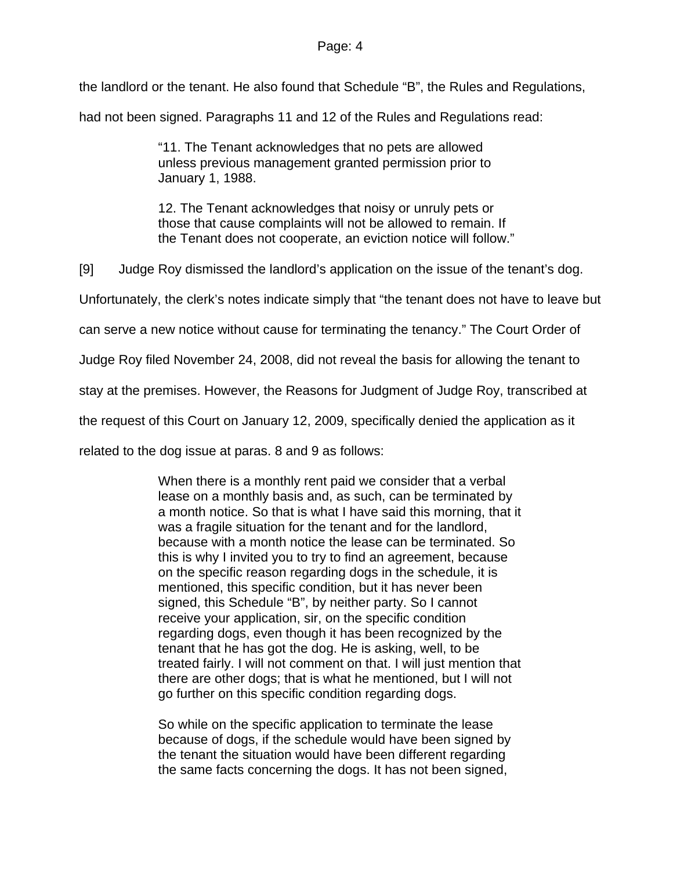#### Page: 4

the landlord or the tenant. He also found that Schedule "B", the Rules and Regulations,

had not been signed. Paragraphs 11 and 12 of the Rules and Regulations read:

"11. The Tenant acknowledges that no pets are allowed unless previous management granted permission prior to January 1, 1988.

12. The Tenant acknowledges that noisy or unruly pets or those that cause complaints will not be allowed to remain. If the Tenant does not cooperate, an eviction notice will follow."

[9] Judge Roy dismissed the landlord's application on the issue of the tenant's dog.

Unfortunately, the clerk's notes indicate simply that "the tenant does not have to leave but

can serve a new notice without cause for terminating the tenancy." The Court Order of

Judge Roy filed November 24, 2008, did not reveal the basis for allowing the tenant to

stay at the premises. However, the Reasons for Judgment of Judge Roy, transcribed at

the request of this Court on January 12, 2009, specifically denied the application as it

related to the dog issue at paras. 8 and 9 as follows:

When there is a monthly rent paid we consider that a verbal lease on a monthly basis and, as such, can be terminated by a month notice. So that is what I have said this morning, that it was a fragile situation for the tenant and for the landlord, because with a month notice the lease can be terminated. So this is why I invited you to try to find an agreement, because on the specific reason regarding dogs in the schedule, it is mentioned, this specific condition, but it has never been signed, this Schedule "B", by neither party. So I cannot receive your application, sir, on the specific condition regarding dogs, even though it has been recognized by the tenant that he has got the dog. He is asking, well, to be treated fairly. I will not comment on that. I will just mention that there are other dogs; that is what he mentioned, but I will not go further on this specific condition regarding dogs.

So while on the specific application to terminate the lease because of dogs, if the schedule would have been signed by the tenant the situation would have been different regarding the same facts concerning the dogs. It has not been signed,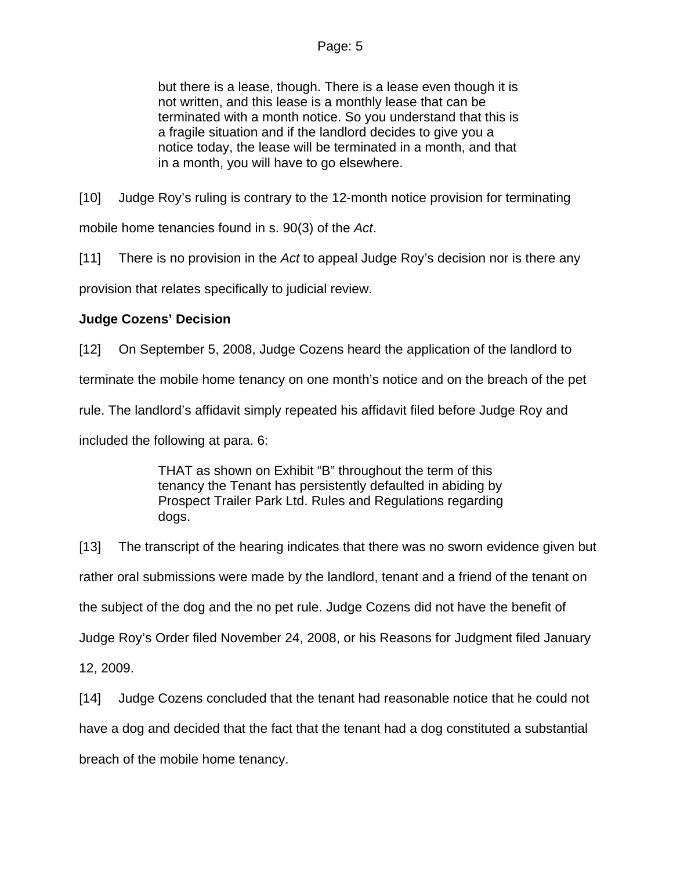but there is a lease, though. There is a lease even though it is not written, and this lease is a monthly lease that can be terminated with a month notice. So you understand that this is a fragile situation and if the landlord decides to give you a notice today, the lease will be terminated in a month, and that in a month, you will have to go elsewhere.

[10] Judge Roy's ruling is contrary to the 12-month notice provision for terminating

mobile home tenancies found in s. 90(3) of the *Act*.

[11] There is no provision in the *Act* to appeal Judge Roy's decision nor is there any

provision that relates specifically to judicial review.

# **Judge Cozens' Decision**

[12] On September 5, 2008, Judge Cozens heard the application of the landlord to

terminate the mobile home tenancy on one month's notice and on the breach of the pet

rule. The landlord's affidavit simply repeated his affidavit filed before Judge Roy and

included the following at para. 6:

THAT as shown on Exhibit "B" throughout the term of this tenancy the Tenant has persistently defaulted in abiding by Prospect Trailer Park Ltd. Rules and Regulations regarding dogs.

[13] The transcript of the hearing indicates that there was no sworn evidence given but rather oral submissions were made by the landlord, tenant and a friend of the tenant on the subject of the dog and the no pet rule. Judge Cozens did not have the benefit of Judge Roy's Order filed November 24, 2008, or his Reasons for Judgment filed January 12, 2009.

[14] Judge Cozens concluded that the tenant had reasonable notice that he could not have a dog and decided that the fact that the tenant had a dog constituted a substantial breach of the mobile home tenancy.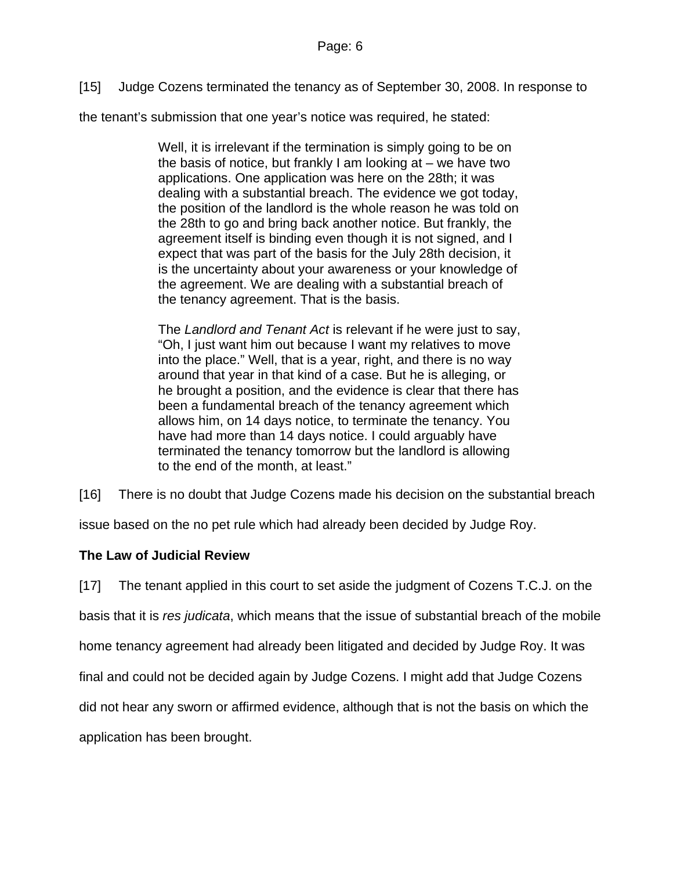[15] Judge Cozens terminated the tenancy as of September 30, 2008. In response to

the tenant's submission that one year's notice was required, he stated:

Well, it is irrelevant if the termination is simply going to be on the basis of notice, but frankly I am looking at – we have two applications. One application was here on the 28th; it was dealing with a substantial breach. The evidence we got today, the position of the landlord is the whole reason he was told on the 28th to go and bring back another notice. But frankly, the agreement itself is binding even though it is not signed, and I expect that was part of the basis for the July 28th decision, it is the uncertainty about your awareness or your knowledge of the agreement. We are dealing with a substantial breach of the tenancy agreement. That is the basis.

The *Landlord and Tenant Act* is relevant if he were just to say, "Oh, I just want him out because I want my relatives to move into the place." Well, that is a year, right, and there is no way around that year in that kind of a case. But he is alleging, or he brought a position, and the evidence is clear that there has been a fundamental breach of the tenancy agreement which allows him, on 14 days notice, to terminate the tenancy. You have had more than 14 days notice. I could arguably have terminated the tenancy tomorrow but the landlord is allowing to the end of the month, at least."

[16] There is no doubt that Judge Cozens made his decision on the substantial breach

issue based on the no pet rule which had already been decided by Judge Roy.

### **The Law of Judicial Review**

[17] The tenant applied in this court to set aside the judgment of Cozens T.C.J. on the basis that it is *res judicata*, which means that the issue of substantial breach of the mobile home tenancy agreement had already been litigated and decided by Judge Roy. It was final and could not be decided again by Judge Cozens. I might add that Judge Cozens did not hear any sworn or affirmed evidence, although that is not the basis on which the application has been brought.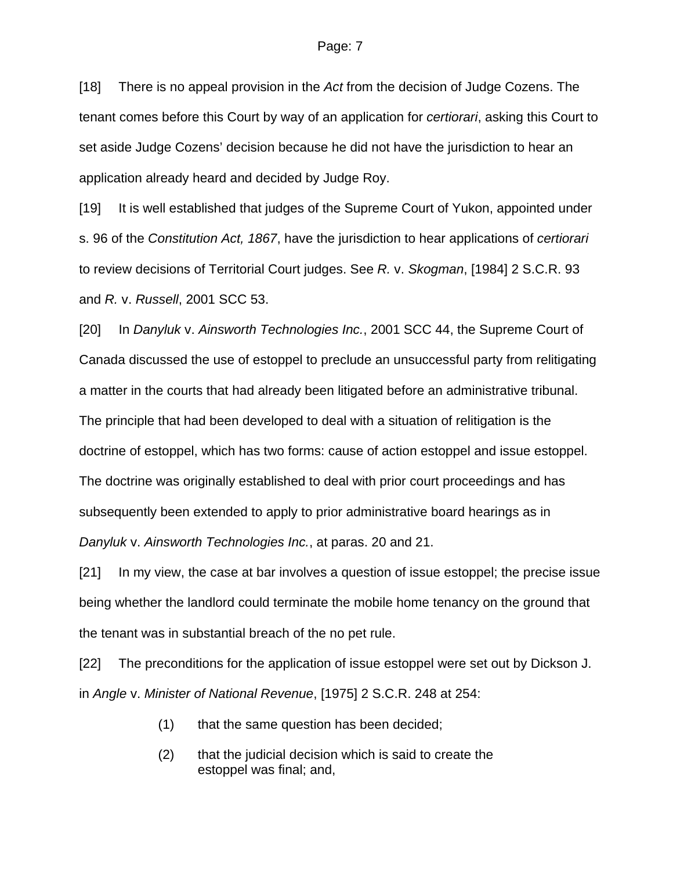[18] There is no appeal provision in the *Act* from the decision of Judge Cozens. The tenant comes before this Court by way of an application for *certiorari*, asking this Court to set aside Judge Cozens' decision because he did not have the jurisdiction to hear an application already heard and decided by Judge Roy.

[19] It is well established that judges of the Supreme Court of Yukon, appointed under s. 96 of the *Constitution Act, 1867*, have the jurisdiction to hear applications of *certiorari*  to review decisions of Territorial Court judges. See *R.* v. *Skogman*, [1984] 2 S.C.R. 93 and *R.* v. *Russell*, 2001 SCC 53.

[20] In *Danyluk* v. *Ainsworth Technologies Inc.*, 2001 SCC 44, the Supreme Court of Canada discussed the use of estoppel to preclude an unsuccessful party from relitigating a matter in the courts that had already been litigated before an administrative tribunal. The principle that had been developed to deal with a situation of relitigation is the doctrine of estoppel, which has two forms: cause of action estoppel and issue estoppel. The doctrine was originally established to deal with prior court proceedings and has subsequently been extended to apply to prior administrative board hearings as in *Danyluk* v. *Ainsworth Technologies Inc.*, at paras. 20 and 21.

[21] In my view, the case at bar involves a question of issue estoppel; the precise issue being whether the landlord could terminate the mobile home tenancy on the ground that the tenant was in substantial breach of the no pet rule.

[22] The preconditions for the application of issue estoppel were set out by Dickson J. in *Angle* v. *Minister of National Revenue*, [1975] 2 S.C.R. 248 at 254:

- (1) that the same question has been decided;
- (2) that the judicial decision which is said to create the estoppel was final; and,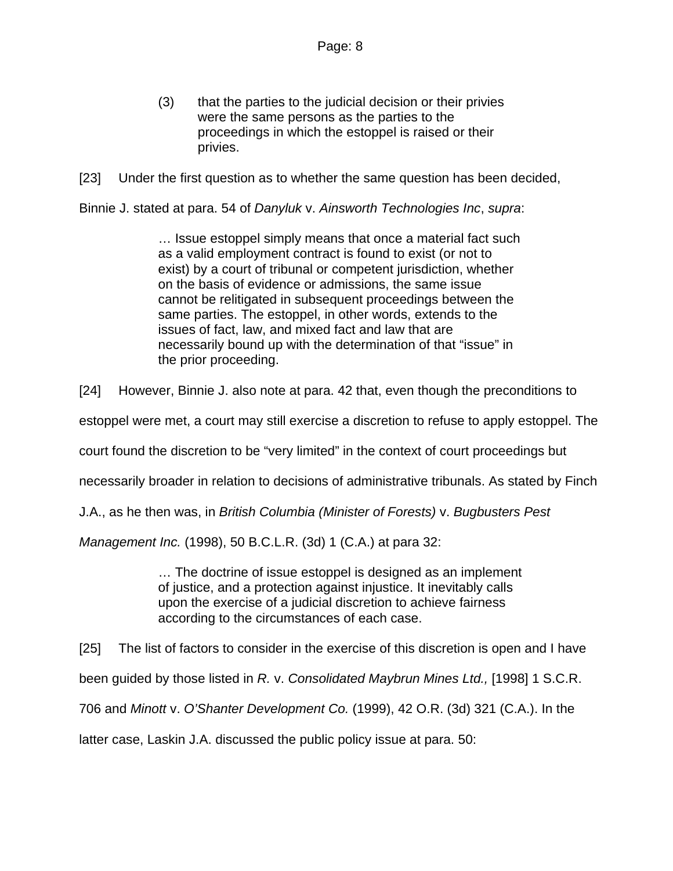(3) that the parties to the judicial decision or their privies were the same persons as the parties to the proceedings in which the estoppel is raised or their privies.

[23] Under the first question as to whether the same question has been decided,

Binnie J. stated at para. 54 of *Danyluk* v. *Ainsworth Technologies Inc*, *supra*:

… Issue estoppel simply means that once a material fact such as a valid employment contract is found to exist (or not to exist) by a court of tribunal or competent jurisdiction, whether on the basis of evidence or admissions, the same issue cannot be relitigated in subsequent proceedings between the same parties. The estoppel, in other words, extends to the issues of fact, law, and mixed fact and law that are necessarily bound up with the determination of that "issue" in the prior proceeding.

[24] However, Binnie J. also note at para. 42 that, even though the preconditions to

estoppel were met, a court may still exercise a discretion to refuse to apply estoppel. The

court found the discretion to be "very limited" in the context of court proceedings but

necessarily broader in relation to decisions of administrative tribunals. As stated by Finch

J.A., as he then was, in *British Columbia (Minister of Forests)* v. *Bugbusters Pest* 

*Management Inc.* (1998), 50 B.C.L.R. (3d) 1 (C.A.) at para 32:

… The doctrine of issue estoppel is designed as an implement of justice, and a protection against injustice. It inevitably calls upon the exercise of a judicial discretion to achieve fairness according to the circumstances of each case.

[25] The list of factors to consider in the exercise of this discretion is open and I have

been guided by those listed in *R.* v. *Consolidated Maybrun Mines Ltd.,* [1998] 1 S.C.R.

706 and *Minott* v. *O'Shanter Development Co.* (1999), 42 O.R. (3d) 321 (C.A.). In the

latter case, Laskin J.A. discussed the public policy issue at para. 50: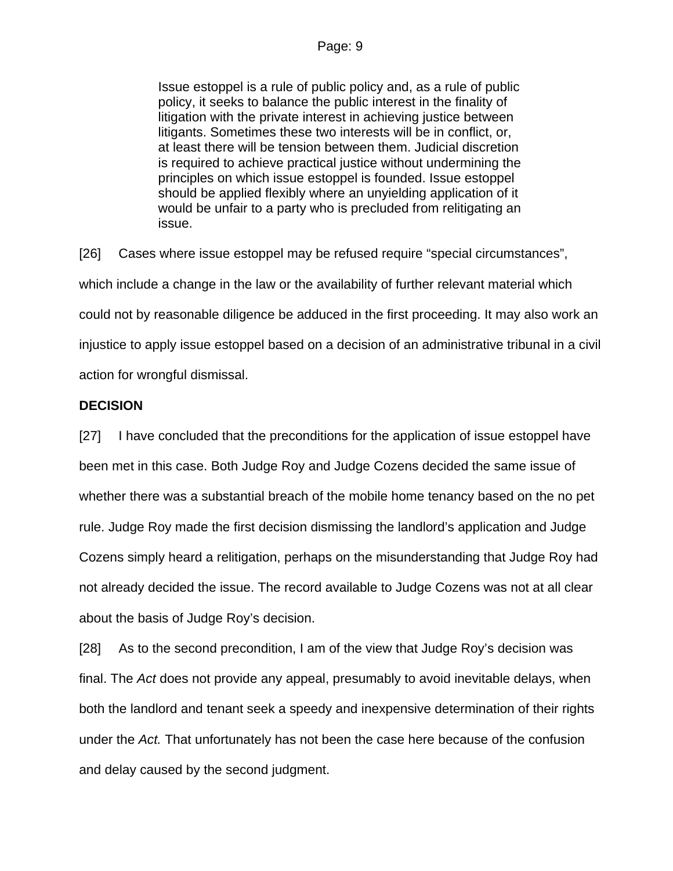Issue estoppel is a rule of public policy and, as a rule of public policy, it seeks to balance the public interest in the finality of litigation with the private interest in achieving justice between litigants. Sometimes these two interests will be in conflict, or, at least there will be tension between them. Judicial discretion is required to achieve practical justice without undermining the principles on which issue estoppel is founded. Issue estoppel should be applied flexibly where an unyielding application of it would be unfair to a party who is precluded from relitigating an issue.

[26] Cases where issue estoppel may be refused require "special circumstances", which include a change in the law or the availability of further relevant material which could not by reasonable diligence be adduced in the first proceeding. It may also work an injustice to apply issue estoppel based on a decision of an administrative tribunal in a civil action for wrongful dismissal.

### **DECISION**

[27] I have concluded that the preconditions for the application of issue estoppel have been met in this case. Both Judge Roy and Judge Cozens decided the same issue of whether there was a substantial breach of the mobile home tenancy based on the no pet rule. Judge Roy made the first decision dismissing the landlord's application and Judge Cozens simply heard a relitigation, perhaps on the misunderstanding that Judge Roy had not already decided the issue. The record available to Judge Cozens was not at all clear about the basis of Judge Roy's decision.

[28] As to the second precondition, I am of the view that Judge Roy's decision was final. The *Act* does not provide any appeal, presumably to avoid inevitable delays, when both the landlord and tenant seek a speedy and inexpensive determination of their rights under the *Act.* That unfortunately has not been the case here because of the confusion and delay caused by the second judgment.